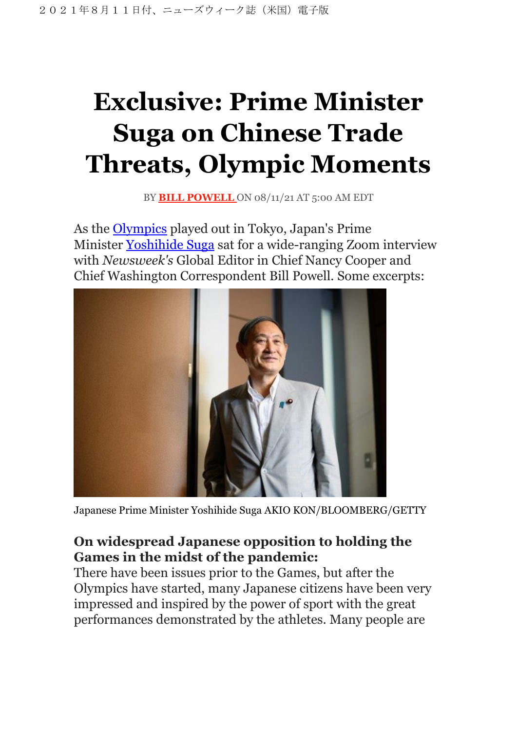# **Exclusive: Prime Minister Suga on Chinese Trade Threats, Olympic Moments**

BY **BILL [POWELL](https://www.newsweek.com/authors/bill-powell)** ON 08/11/21 AT 5:00 AM EDT

As the [Olympics](https://www.newsweek.com/topic/olympics) played out in Tokyo, Japan's Prime Minister [Yoshihide](https://www.newsweek.com/topic/yoshihide-suga) Suga sat for a wide-ranging Zoom interview with *Newsweek's* Global Editor in Chief Nancy Cooper and Chief Washington Correspondent Bill Powell. Some excerpts:



Japanese Prime Minister Yoshihide Suga AKIO KON/BLOOMBERG/GETTY

## **On widespread Japanese opposition to holding the Games in the midst of the pandemic:**

There have been issues prior to the Games, but after the Olympics have started, many Japanese citizens have been very impressed and inspired by the power of sport with the great performances demonstrated by the athletes. Many people are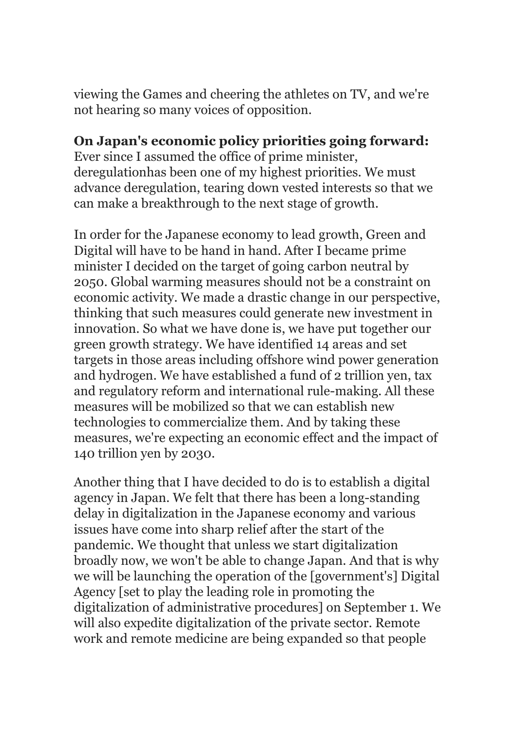viewing the Games and cheering the athletes on TV, and we're not hearing so many voices of opposition.

## **On Japan's economic policy priorities going forward:**

Ever since I assumed the office of prime minister, deregulationhas been one of my highest priorities. We must advance deregulation, tearing down vested interests so that we can make a breakthrough to the next stage of growth.

In order for the Japanese economy to lead growth, Green and Digital will have to be hand in hand. After I became prime minister I decided on the target of going carbon neutral by 2050. Global warming measures should not be a constraint on economic activity. We made a drastic change in our perspective, thinking that such measures could generate new investment in innovation. So what we have done is, we have put together our green growth strategy. We have identified 14 areas and set targets in those areas including offshore wind power generation and hydrogen. We have established a fund of 2 trillion yen, tax and regulatory reform and international rule-making. All these measures will be mobilized so that we can establish new technologies to commercialize them. And by taking these measures, we're expecting an economic effect and the impact of 140 trillion yen by 2030.

Another thing that I have decided to do is to establish a digital agency in Japan. We felt that there has been a long-standing delay in digitalization in the Japanese economy and various issues have come into sharp relief after the start of the pandemic. We thought that unless we start digitalization broadly now, we won't be able to change Japan. And that is why we will be launching the operation of the [government's] Digital Agency [set to play the leading role in promoting the digitalization of administrative procedures] on September 1. We will also expedite digitalization of the private sector. Remote work and remote medicine are being expanded so that people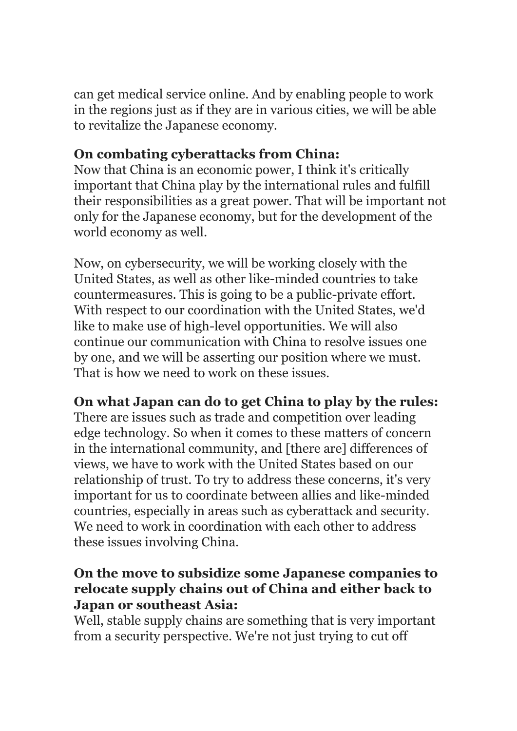can get medical service online. And by enabling people to work in the regions just as if they are in various cities, we will be able to revitalize the Japanese economy.

# **On combating cyberattacks from China:**

Now that China is an economic power, I think it's critically important that China play by the international rules and fulfill their responsibilities as a great power. That will be important not only for the Japanese economy, but for the development of the world economy as well.

Now, on cybersecurity, we will be working closely with the United States, as well as other like-minded countries to take countermeasures. This is going to be a public-private effort. With respect to our coordination with the United States, we'd like to make use of high-level opportunities. We will also continue our communication with China to resolve issues one by one, and we will be asserting our position where we must. That is how we need to work on these issues.

# **On what Japan can do to get China to play by the rules:**

There are issues such as trade and competition over leading edge technology. So when it comes to these matters of concern in the international community, and [there are] differences of views, we have to work with the United States based on our relationship of trust. To try to address these concerns, it's very important for us to coordinate between allies and like-minded countries, especially in areas such as cyberattack and security. We need to work in coordination with each other to address these issues involving China.

## **On the move to subsidize some Japanese companies to relocate supply chains out of China and either back to Japan or southeast Asia:**

Well, stable supply chains are something that is very important from a security perspective. We're not just trying to cut off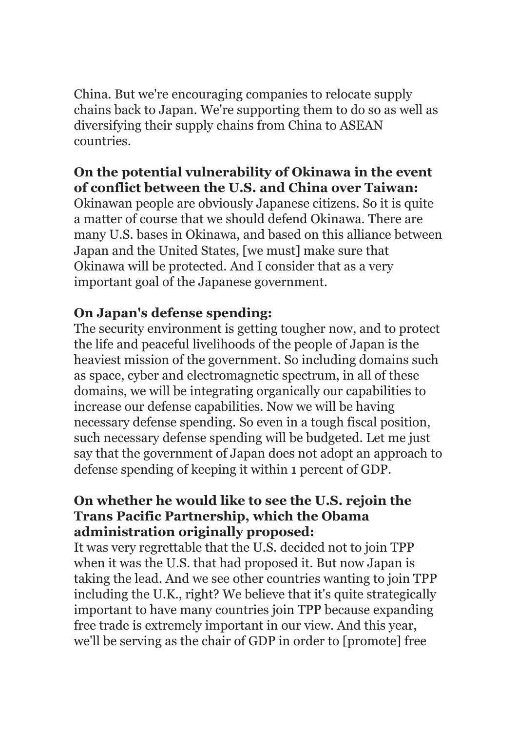China. But we're encouraging companies to relocate supply chains back to Japan. We're supporting them to do so as well as diversifying their supply chains from China to ASEAN countries.

## **On the potential vulnerability of Okinawa in the event of conflict between the U.S. and China over Taiwan:**

Okinawan people are obviously Japanese citizens. So it is quite a matter of course that we should defend Okinawa. There are many U.S. bases in Okinawa, and based on this alliance between Japan and the United States, [we must] make sure that Okinawa will be protected. And I consider that as a very important goal of the Japanese government.

# **On Japan's defense spending:**

The security environment is getting tougher now, and to protect the life and peaceful livelihoods of the people of Japan is the heaviest mission of the government. So including domains such as space, cyber and electromagnetic spectrum, in all of these domains, we will be integrating organically our capabilities to increase our defense capabilities. Now we will be having necessary defense spending. So even in a tough fiscal position, such necessary defense spending will be budgeted. Let me just say that the government of Japan does not adopt an approach to defense spending of keeping it within 1 percent of GDP.

#### **On whether he would like to see the U.S. rejoin the Trans Pacific Partnership, which the Obama administration originally proposed:**

It was very regrettable that the U.S. decided not to join TPP when it was the U.S. that had proposed it. But now Japan is taking the lead. And we see other countries wanting to join TPP including the U.K., right? We believe that it's quite strategically important to have many countries join TPP because expanding free trade is extremely important in our view. And this year, we'll be serving as the chair of GDP in order to [promote] free